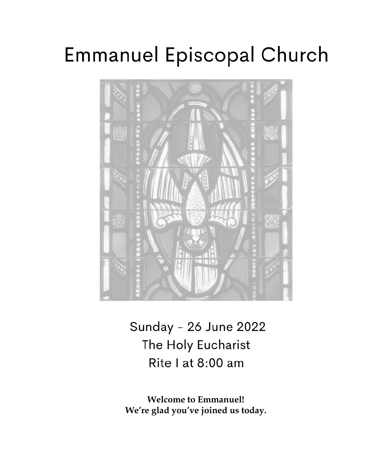# **Emmanuel Episcopal Church**



Sunday - 26 June 2022 The Holy Eucharist Rite I at 8:00 am

**Welcome to Emmanuel! We're glad you've joined us today.**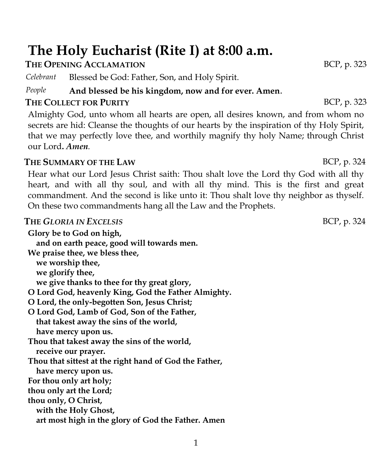## **The Holy Eucharist (Rite I) at 8:00 a.m.**

#### **THE OPENING ACCLAMATION BCP**, p. 323

*Celebrant* Blessed be God: Father, Son, and Holy Spirit.

#### *People* **And blessed be his kingdom, now and for ever. Amen**.

#### **THE COLLECT FOR PURITY** BCP, p. 323

Almighty God, unto whom all hearts are open, all desires known, and from whom no secrets are hid: Cleanse the thoughts of our hearts by the inspiration of thy Holy Spirit, that we may perfectly love thee, and worthily magnify thy holy Name; through Christ our Lord**.** *Amen.*

#### **THE SUMMARY OF THE LAW** BCP, p. 324

Hear what our Lord Jesus Christ saith: Thou shalt love the Lord thy God with all thy heart, and with all thy soul, and with all thy mind. This is the first and great commandment. And the second is like unto it: Thou shalt love thy neighbor as thyself. On these two commandments hang all the Law and the Prophets.

#### **THE GLORIA IN EXCELSIS** BCP, p. 324

**Glory be to God on high, and on earth peace, good will towards men. We praise thee, we bless thee, we worship thee, we glorify thee, we give thanks to thee for thy great glory, O Lord God, heavenly King, God the Father Almighty. O Lord, the only-begotten Son, Jesus Christ; O Lord God, Lamb of God, Son of the Father, that takest away the sins of the world, have mercy upon us. Thou that takest away the sins of the world, receive our prayer. Thou that sittest at the right hand of God the Father, have mercy upon us. For thou only art holy; thou only art the Lord; thou only, O Christ, with the Holy Ghost, art most high in the glory of God the Father. Amen**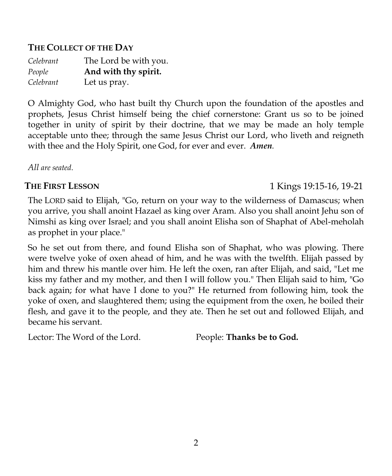#### **THE COLLECT OF THE DAY**

| Celebrant | The Lord be with you. |
|-----------|-----------------------|
| People    | And with thy spirit.  |
| Celebrant | Let us pray.          |

O Almighty God, who hast built thy Church upon the foundation of the apostles and prophets, Jesus Christ himself being the chief cornerstone: Grant us so to be joined together in unity of spirit by their doctrine, that we may be made an holy temple acceptable unto thee; through the same Jesus Christ our Lord, who liveth and reigneth with thee and the Holy Spirit, one God, for ever and ever. *Amen.*

*All are seated*.

#### **THE FIRST LESSON** 1 Kings 19:15-16, 19-21

The LORD said to Elijah, "Go, return on your way to the wilderness of Damascus; when you arrive, you shall anoint Hazael as king over Aram. Also you shall anoint Jehu son of Nimshi as king over Israel; and you shall anoint Elisha son of Shaphat of Abel-meholah as prophet in your place."

So he set out from there, and found Elisha son of Shaphat, who was plowing. There were twelve yoke of oxen ahead of him, and he was with the twelfth. Elijah passed by him and threw his mantle over him. He left the oxen, ran after Elijah, and said, "Let me kiss my father and my mother, and then I will follow you." Then Elijah said to him, "Go back again; for what have I done to you?" He returned from following him, took the yoke of oxen, and slaughtered them; using the equipment from the oxen, he boiled their flesh, and gave it to the people, and they ate. Then he set out and followed Elijah, and became his servant.

Lector: The Word of the Lord. People: **Thanks be to God.**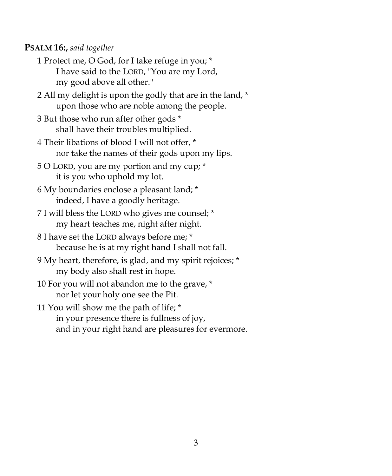#### **PSALM 16:,** *said together*

- 1 Protect me, O God, for I take refuge in you; \* I have said to the LORD, "You are my Lord, my good above all other."
- 2 All my delight is upon the godly that are in the land, \* upon those who are noble among the people.
- 3 But those who run after other gods \* shall have their troubles multiplied.
- 4 Their libations of blood I will not offer, \* nor take the names of their gods upon my lips.
- 5 O LORD, you are my portion and my cup; \* it is you who uphold my lot.
- 6 My boundaries enclose a pleasant land; \* indeed, I have a goodly heritage.
- 7 I will bless the LORD who gives me counsel; \* my heart teaches me, night after night.
- 8 I have set the LORD always before me; \* because he is at my right hand I shall not fall.
- 9 My heart, therefore, is glad, and my spirit rejoices; \* my body also shall rest in hope.
- 10 For you will not abandon me to the grave, \* nor let your holy one see the Pit.
- 11 You will show me the path of life; \* in your presence there is fullness of joy, and in your right hand are pleasures for evermore.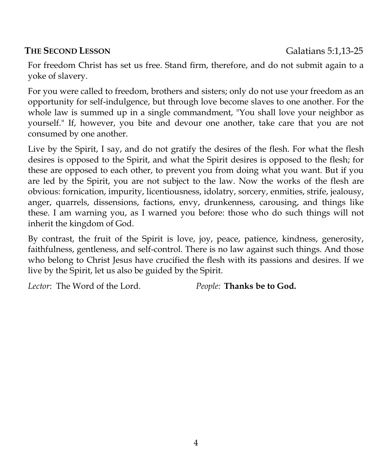#### **THE SECOND LESSON** Galatians 5:1,13-25

For freedom Christ has set us free. Stand firm, therefore, and do not submit again to a yoke of slavery.

For you were called to freedom, brothers and sisters; only do not use your freedom as an opportunity for self-indulgence, but through love become slaves to one another. For the whole law is summed up in a single commandment, "You shall love your neighbor as yourself." If, however, you bite and devour one another, take care that you are not consumed by one another.

Live by the Spirit, I say, and do not gratify the desires of the flesh. For what the flesh desires is opposed to the Spirit, and what the Spirit desires is opposed to the flesh; for these are opposed to each other, to prevent you from doing what you want. But if you are led by the Spirit, you are not subject to the law. Now the works of the flesh are obvious: fornication, impurity, licentiousness, idolatry, sorcery, enmities, strife, jealousy, anger, quarrels, dissensions, factions, envy, drunkenness, carousing, and things like these. I am warning you, as I warned you before: those who do such things will not inherit the kingdom of God.

By contrast, the fruit of the Spirit is love, joy, peace, patience, kindness, generosity, faithfulness, gentleness, and self-control. There is no law against such things. And those who belong to Christ Jesus have crucified the flesh with its passions and desires. If we live by the Spirit, let us also be guided by the Spirit.

*Lector*: The Word of the Lord. *People:* **Thanks be to God.**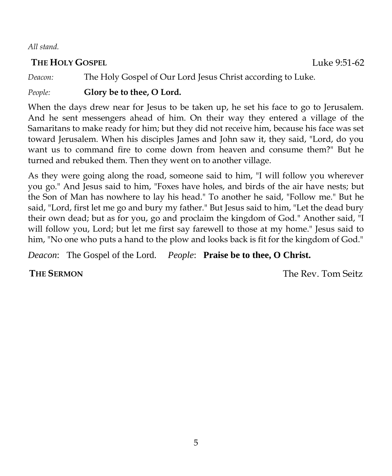*All stand.*

#### **THE HOLY GOSPEL COSPEL EXECUTE: Luke 9:51-62**

*Deacon:* The Holy Gospel of Our Lord Jesus Christ according to Luke.

*People:* **Glory be to thee, O Lord.**

When the days drew near for Jesus to be taken up, he set his face to go to Jerusalem. And he sent messengers ahead of him. On their way they entered a village of the Samaritans to make ready for him; but they did not receive him, because his face was set toward Jerusalem. When his disciples James and John saw it, they said, "Lord, do you want us to command fire to come down from heaven and consume them?" But he turned and rebuked them. Then they went on to another village.

As they were going along the road, someone said to him, "I will follow you wherever you go." And Jesus said to him, "Foxes have holes, and birds of the air have nests; but the Son of Man has nowhere to lay his head." To another he said, "Follow me." But he said, "Lord, first let me go and bury my father." But Jesus said to him, "Let the dead bury their own dead; but as for you, go and proclaim the kingdom of God." Another said, "I will follow you, Lord; but let me first say farewell to those at my home." Jesus said to him, "No one who puts a hand to the plow and looks back is fit for the kingdom of God."

*Deacon*: The Gospel of the Lord. *People*: **Praise be to thee, O Christ.**

**THE SERMON** The Rev. Tom Seitz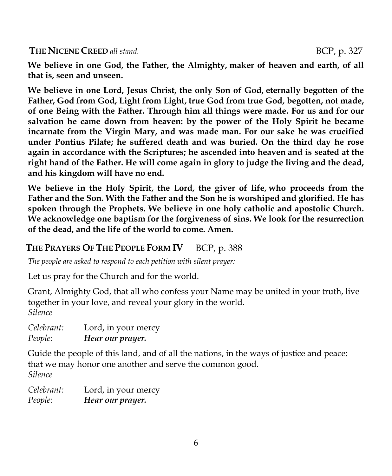**We believe in one God, the Father, the Almighty, maker of heaven and earth, of all that is, seen and unseen.** 

**We believe in one Lord, Jesus Christ, the only Son of God, eternally begotten of the Father, God from God, Light from Light, true God from true God, begotten, not made, of one Being with the Father. Through him all things were made. For us and for our salvation he came down from heaven: by the power of the Holy Spirit he became incarnate from the Virgin Mary, and was made man. For our sake he was crucified under Pontius Pilate; he suffered death and was buried. On the third day he rose again in accordance with the Scriptures; he ascended into heaven and is seated at the right hand of the Father. He will come again in glory to judge the living and the dead, and his kingdom will have no end.** 

**We believe in the Holy Spirit, the Lord, the giver of life, who proceeds from the Father and the Son. With the Father and the Son he is worshiped and glorified. He has spoken through the Prophets. We believe in one holy catholic and apostolic Church. We acknowledge one baptism for the forgiveness of sins. We look for the resurrection of the dead, and the life of the world to come. Amen.**

### **THE PRAYERS OF THE PEOPLE FORM IV** BCP, p. 388

*The people are asked to respond to each petition with silent prayer:*

Let us pray for the Church and for the world.

Grant, Almighty God, that all who confess your Name may be united in your truth, live together in your love, and reveal your glory in the world. *Silence*

*Celebrant:* Lord, in your mercy *People: Hear our prayer.*

Guide the people of this land, and of all the nations, in the ways of justice and peace; that we may honor one another and serve the common good. *Silence*

*Celebrant:* Lord, in your mercy *People: Hear our prayer.*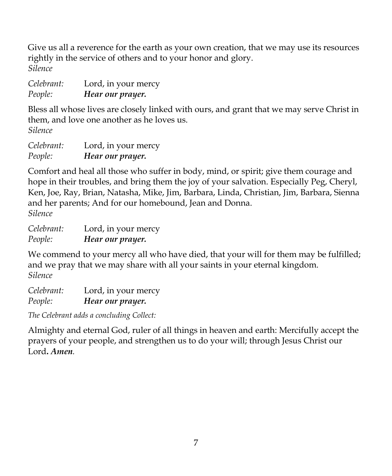Give us all a reverence for the earth as your own creation, that we may use its resources rightly in the service of others and to your honor and glory. *Silence*

| Celebrant: | Lord, in your mercy |
|------------|---------------------|
| People:    | Hear our prayer.    |

Bless all whose lives are closely linked with ours, and grant that we may serve Christ in them, and love one another as he loves us. *Silence*

*Celebrant:* Lord, in your mercy *People: Hear our prayer.*

Comfort and heal all those who suffer in body, mind, or spirit; give them courage and hope in their troubles, and bring them the joy of your salvation. Especially Peg, Cheryl, Ken, Joe, Ray, Brian, Natasha, Mike, Jim, Barbara, Linda, Christian, Jim, Barbara, Sienna and her parents; And for our homebound, Jean and Donna. *Silence*

*Celebrant:* Lord, in your mercy *People: Hear our prayer.*

We commend to your mercy all who have died, that your will for them may be fulfilled; and we pray that we may share with all your saints in your eternal kingdom. *Silence*

*Celebrant:* Lord, in your mercy *People: Hear our prayer.*

*The Celebrant adds a concluding Collect:*

Almighty and eternal God, ruler of all things in heaven and earth: Mercifully accept the prayers of your people, and strengthen us to do your will; through Jesus Christ our Lord**.** *Amen.*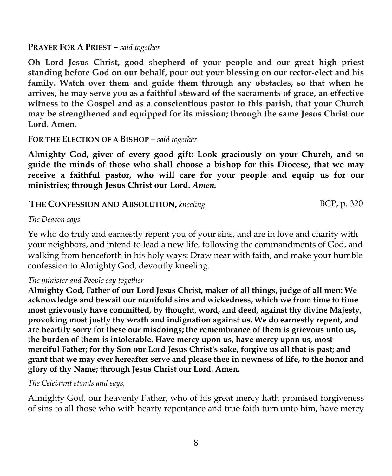**PRAYER FOR A PRIEST** *– said together*

**Oh Lord Jesus Christ, good shepherd of your people and our great high priest standing before God on our behalf, pour out your blessing on our rector-elect and his family. Watch over them and guide them through any obstacles, so that when he arrives, he may serve you as a faithful steward of the sacraments of grace, an effective witness to the Gospel and as a conscientious pastor to this parish, that your Church may be strengthened and equipped for its mission; through the same Jesus Christ our Lord. Amen.**

**FOR THE ELECTION OF A BISHOP** *– said together*

**Almighty God, giver of every good gift: Look graciously on your Church, and so guide the minds of those who shall choose a bishop for this Diocese, that we may receive a faithful pastor, who will care for your people and equip us for our ministries; through Jesus Christ our Lord.** *Amen.*

#### **THE CONFESSION AND ABSOLUTION,** kneeling BCP, p. 320

#### *The Deacon says*

Ye who do truly and earnestly repent you of your sins, and are in love and charity with your neighbors, and intend to lead a new life, following the commandments of God, and walking from henceforth in his holy ways: Draw near with faith, and make your humble confession to Almighty God, devoutly kneeling.

*The minister and People say together*

**Almighty God, Father of our Lord Jesus Christ, maker of all things, judge of all men: We acknowledge and bewail our manifold sins and wickedness, which we from time to time most grievously have committed, by thought, word, and deed, against thy divine Majesty, provoking most justly thy wrath and indignation against us. We do earnestly repent, and are heartily sorry for these our misdoings; the remembrance of them is grievous unto us, the burden of them is intolerable. Have mercy upon us, have mercy upon us, most merciful Father; for thy Son our Lord Jesus Christ's sake, forgive us all that is past; and grant that we may ever hereafter serve and please thee in newness of life, to the honor and glory of thy Name; through Jesus Christ our Lord. Amen.**

*The Celebrant stands and says,*

Almighty God, our heavenly Father, who of his great mercy hath promised forgiveness of sins to all those who with hearty repentance and true faith turn unto him, have mercy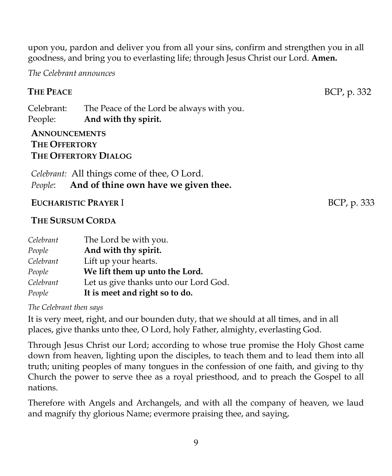upon you, pardon and deliver you from all your sins, confirm and strengthen you in all goodness, and bring you to everlasting life; through Jesus Christ our Lord. **Amen.**

*The Celebrant announces*

### **THE PEACE** BCP, p. 332

Celebrant: The Peace of the Lord be always with you. People: **And with thy spirit.**

#### **ANNOUNCEMENTS THE OFFERTORY THE OFFERTORY DIALOG**

*Celebrant:* All things come of thee, O Lord. *People*: **And of thine own have we given thee.**

#### **EUCHARISTIC PRAYER I** BCP, p. 333

#### **THE SURSUM CORDA**

| Celebrant | The Lord be with you.                 |
|-----------|---------------------------------------|
| People    | And with thy spirit.                  |
| Celebrant | Lift up your hearts.                  |
| People    | We lift them up unto the Lord.        |
| Celebrant | Let us give thanks unto our Lord God. |
| People    | It is meet and right so to do.        |

*The Celebrant then says*

It is very meet, right, and our bounden duty, that we should at all times, and in all places, give thanks unto thee, O Lord, holy Father, almighty, everlasting God.

Through Jesus Christ our Lord; according to whose true promise the Holy Ghost came down from heaven, lighting upon the disciples, to teach them and to lead them into all truth; uniting peoples of many tongues in the confession of one faith, and giving to thy Church the power to serve thee as a royal priesthood, and to preach the Gospel to all nations.

Therefore with Angels and Archangels, and with all the company of heaven, we laud and magnify thy glorious Name; evermore praising thee, and saying,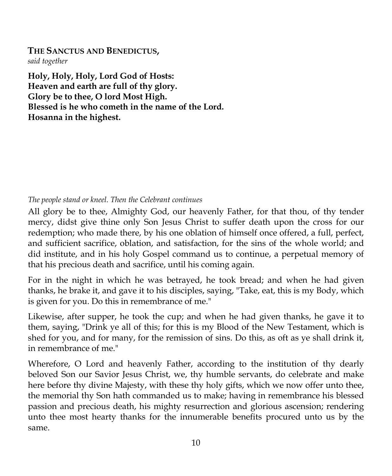#### **THE SANCTUS AND BENEDICTUS,** *said together*

**Holy, Holy, Holy, Lord God of Hosts: Heaven and earth are full of thy glory. Glory be to thee, O lord Most High. Blessed is he who cometh in the name of the Lord. Hosanna in the highest.**

#### *The people stand or kneel. Then the Celebrant continues*

All glory be to thee, Almighty God, our heavenly Father, for that thou, of thy tender mercy, didst give thine only Son Jesus Christ to suffer death upon the cross for our redemption; who made there, by his one oblation of himself once offered, a full, perfect, and sufficient sacrifice, oblation, and satisfaction, for the sins of the whole world; and did institute, and in his holy Gospel command us to continue, a perpetual memory of that his precious death and sacrifice, until his coming again.

For in the night in which he was betrayed, he took bread; and when he had given thanks, he brake it, and gave it to his disciples, saying, "Take, eat, this is my Body, which is given for you. Do this in remembrance of me."

Likewise, after supper, he took the cup; and when he had given thanks, he gave it to them, saying, "Drink ye all of this; for this is my Blood of the New Testament, which is shed for you, and for many, for the remission of sins. Do this, as oft as ye shall drink it, in remembrance of me."

Wherefore, O Lord and heavenly Father, according to the institution of thy dearly beloved Son our Savior Jesus Christ, we, thy humble servants, do celebrate and make here before thy divine Majesty, with these thy holy gifts, which we now offer unto thee, the memorial thy Son hath commanded us to make; having in remembrance his blessed passion and precious death, his mighty resurrection and glorious ascension; rendering unto thee most hearty thanks for the innumerable benefits procured unto us by the same.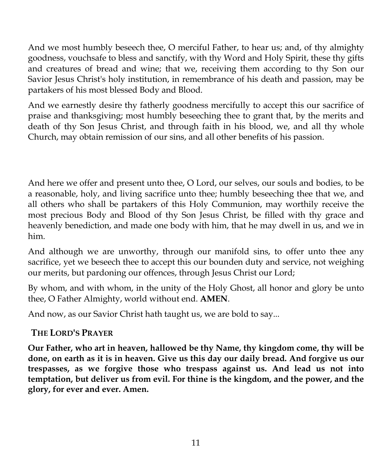And we most humbly beseech thee, O merciful Father, to hear us; and, of thy almighty goodness, vouchsafe to bless and sanctify, with thy Word and Holy Spirit, these thy gifts and creatures of bread and wine; that we, receiving them according to thy Son our Savior Jesus Christ's holy institution, in remembrance of his death and passion, may be partakers of his most blessed Body and Blood.

And we earnestly desire thy fatherly goodness mercifully to accept this our sacrifice of praise and thanksgiving; most humbly beseeching thee to grant that, by the merits and death of thy Son Jesus Christ, and through faith in his blood, we, and all thy whole Church, may obtain remission of our sins, and all other benefits of his passion.

And here we offer and present unto thee, O Lord, our selves, our souls and bodies, to be a reasonable, holy, and living sacrifice unto thee; humbly beseeching thee that we, and all others who shall be partakers of this Holy Communion, may worthily receive the most precious Body and Blood of thy Son Jesus Christ, be filled with thy grace and heavenly benediction, and made one body with him, that he may dwell in us, and we in him.

And although we are unworthy, through our manifold sins, to offer unto thee any sacrifice, yet we beseech thee to accept this our bounden duty and service, not weighing our merits, but pardoning our offences, through Jesus Christ our Lord;

By whom, and with whom, in the unity of the Holy Ghost, all honor and glory be unto thee, O Father Almighty, world without end. **AMEN**.

And now, as our Savior Christ hath taught us, we are bold to say...

#### **THE LORD'S PRAYER**

**Our Father, who art in heaven, hallowed be thy Name, thy kingdom come, thy will be done, on earth as it is in heaven. Give us this day our daily bread. And forgive us our trespasses, as we forgive those who trespass against us. And lead us not into temptation, but deliver us from evil. For thine is the kingdom, and the power, and the glory, for ever and ever. Amen.**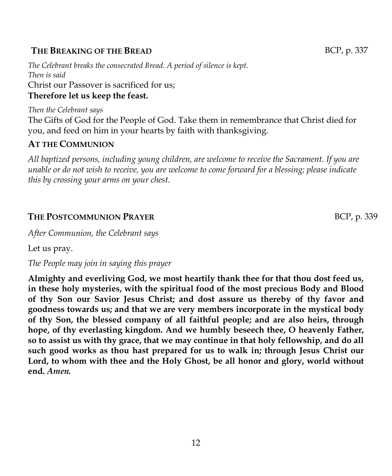#### **THE BREAKING OF THE BREAD BUT ASSESSED BE A BUT A** BCP, p. 337

*The Celebrant breaks the consecrated Bread. A period of silence is kept. Then is said* Christ our Passover is sacrificed for us; **Therefore let us keep the feast.**

*Then the Celebrant says* The Gifts of God for the People of God. Take them in remembrance that Christ died for you, and feed on him in your hearts by faith with thanksgiving.

#### **AT THE COMMUNION**

*All baptized persons, including young children, are welcome to receive the Sacrament. If you are unable or do not wish to receive, you are welcome to come forward for a blessing; please indicate this by crossing your arms on your chest.*

#### **THE POSTCOMMUNION PRAYER BULLER BULLER BULLER BULLER BULLER BULLER BULLER**

*After Communion, the Celebrant says*

Let us pray.

*The People may join in saying this prayer*

**Almighty and everliving God, we most heartily thank thee for that thou dost feed us, in these holy mysteries, with the spiritual food of the most precious Body and Blood of thy Son our Savior Jesus Christ; and dost assure us thereby of thy favor and goodness towards us; and that we are very members incorporate in the mystical body of thy Son, the blessed company of all faithful people; and are also heirs, through hope, of thy everlasting kingdom. And we humbly beseech thee, O heavenly Father, so to assist us with thy grace, that we may continue in that holy fellowship, and do all such good works as thou hast prepared for us to walk in; through Jesus Christ our Lord, to whom with thee and the Holy Ghost, be all honor and glory, world without end.** *Amen.*

12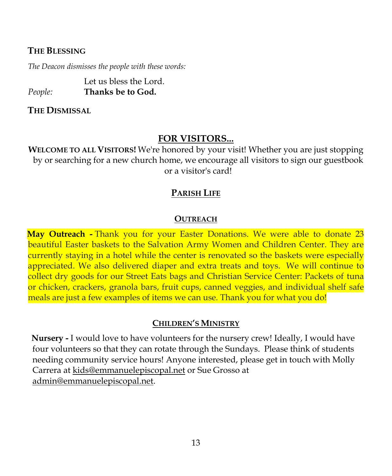#### **THE BLESSING**

*The Deacon dismisses the people with these words:*

Let us bless the Lord. *People:* **Thanks be to God.**

**THE DISMISSAL**

#### **FOR VISITORS...**

**WELCOME TO ALL VISITORS!** We're honored by your visit! Whether you are just stopping by or searching for a new church home, we encourage all visitors to sign our guestbook or a visitor's card!

#### **PARISH LIFE**

#### **OUTREACH**

**May Outreach -** Thank you for your Easter Donations. We were able to donate 23 beautiful Easter baskets to the Salvation Army Women and Children Center. They are currently staying in a hotel while the center is renovated so the baskets were especially appreciated. We also delivered diaper and extra treats and toys. We will continue to collect dry goods for our Street Eats bags and Christian Service Center: Packets of tuna or chicken, crackers, granola bars, fruit cups, canned veggies, and individual shelf safe meals are just a few examples of items we can use. Thank you for what you do!

#### **CHILDREN'S MINISTRY**

**Nursery -** I would love to have volunteers for the nursery crew! Ideally, I would have four volunteers so that they can rotate through the Sundays. Please think of students needing community service hours! Anyone interested, please get in touch with Molly Carrera at [kids@emmanuelepiscopal.net](about:blank) or Sue Grosso at [admin@emmanuelepiscopal.net.](about:blank)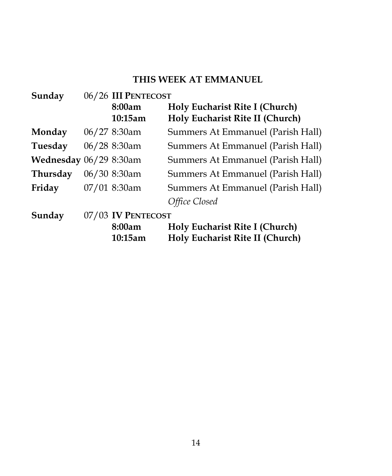#### **THIS WEEK AT EMMANUEL**

| Sunday                 | 06/26 III PENTECOST |                                   |  |
|------------------------|---------------------|-----------------------------------|--|
|                        | 8:00am              | Holy Eucharist Rite I (Church)    |  |
|                        | 10:15am             | Holy Eucharist Rite II (Church)   |  |
| Monday                 | $06/27$ 8:30am      | Summers At Emmanuel (Parish Hall) |  |
| Tuesday                | $06/28$ 8:30am      | Summers At Emmanuel (Parish Hall) |  |
| Wednesday 06/29 8:30am |                     | Summers At Emmanuel (Parish Hall) |  |
| Thursday               | 06/30 8:30am        | Summers At Emmanuel (Parish Hall) |  |
| Friday                 | 07/01 8:30am        | Summers At Emmanuel (Parish Hall) |  |
|                        |                     | Office Closed                     |  |
| Sunday                 | 07/03 IV PENTECOST  |                                   |  |
|                        | 8:00am              | Holy Eucharist Rite I (Church)    |  |
|                        | 10:15am             | Holy Eucharist Rite II (Church)   |  |